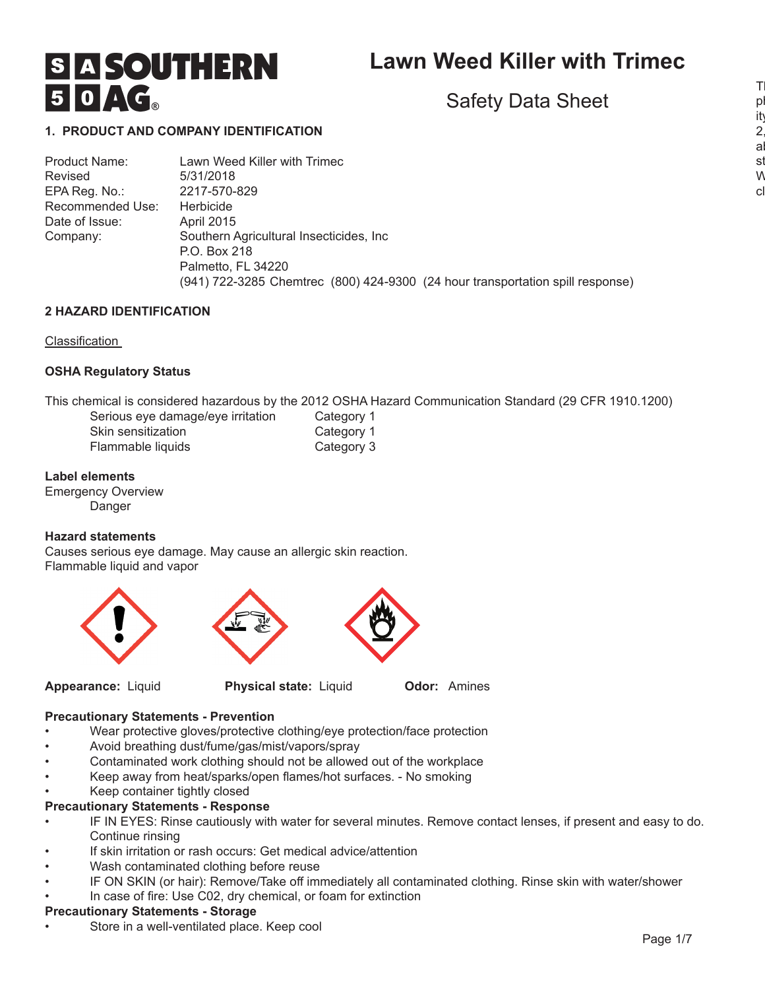# **Lawn Weed Killer with Trimec**

Safety Data Sheet

# **S A SOUTHERN** 50AG

# **1. PRODUCT AND COMPANY IDENTIFICATION**

Product Name: Lawn Weed Killer with Trimec Revised 5/31/2018 EPA Reg. No.: 2217-570-829 Recommended Use: Herbicide Date of Issue: April 2015 Company: Southern Agricultural Insecticides, Inc P.O. Box 218 Palmetto, FL 34220 (941) 722-3285 Chemtrec (800) 424-9300 (24 hour transportation spill response)

# **2 HAZARD IDENTIFICATION**

# Classification

# **OSHA Regulatory Status**

This chemical is considered hazardous by the 2012 OSHA Hazard Communication Standard (29 CFR 1910.1200)

| Serious eye damage/eye irritation |  |
|-----------------------------------|--|
| Skin sensitization                |  |
| Flammable liquids                 |  |

# Category 1 Category 1 Category 3

# **Label elements**

Emergency Overview Danger

# **Hazard statements**

Causes serious eye damage. May cause an allergic skin reaction. Flammable liquid and vapor





**Appearance:** Liquid **Physical state:** Liquid **Odor:** Amines

# **Precautionary Statements - Prevention**

- Wear protective gloves/protective clothing/eye protection/face protection
- Avoid breathing dust/fume/gas/mist/vapors/spray
- Contaminated work clothing should not be allowed out of the workplace
- Keep away from heat/sparks/open flames/hot surfaces. No smoking
- Keep container tightly closed

# **Precautionary Statements - Response**

- IF IN EYES: Rinse cautiously with water for several minutes. Remove contact lenses, if present and easy to do. Continue rinsing
- If skin irritation or rash occurs: Get medical advice/attention
- Wash contaminated clothing before reuse
- IF ON SKIN (or hair): Remove/Take off immediately all contaminated clothing. Rinse skin with water/shower
- In case of fire: Use C02, dry chemical, or foam for extinction

# **Precautionary Statements - Storage**

Store in a well-ventilated place. Keep cool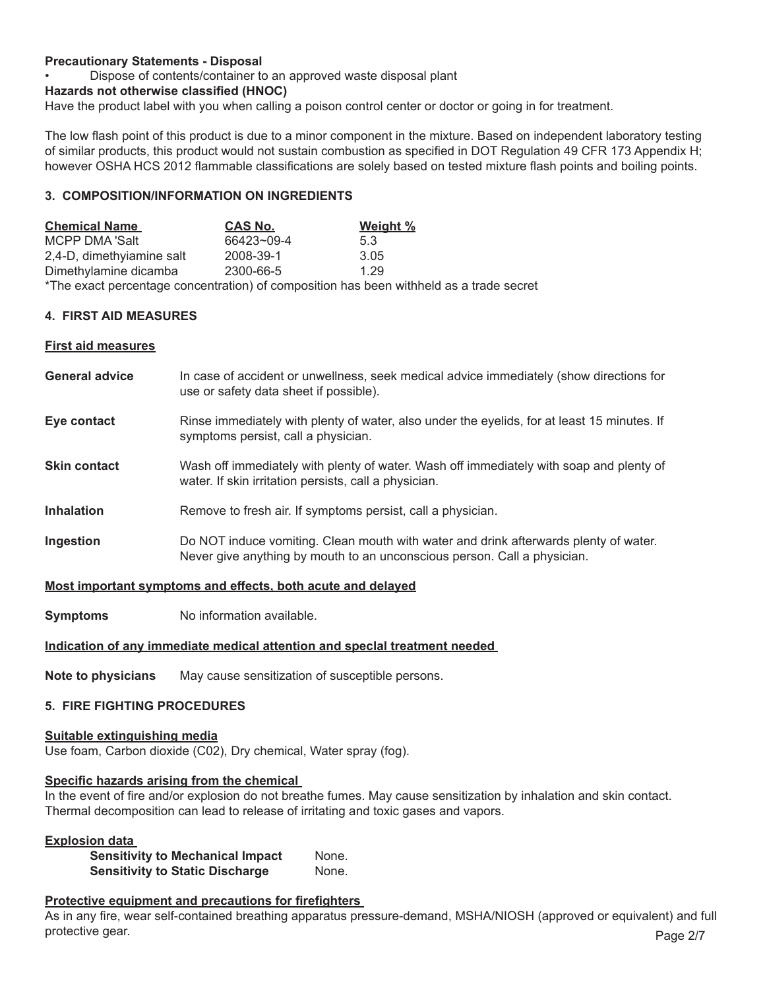# **Precautionary Statements - Disposal**

• Dispose of contents/container to an approved waste disposal plant

# **Hazards not otherwise classified (HNOC)**

Have the product label with you when calling a poison control center or doctor or going in for treatment.

The low flash point of this product is due to a minor component in the mixture. Based on independent laboratory testing of similar products, this product would not sustain combustion as specified in DOT Regulation 49 CFR 173 Appendix H; however OSHA HCS 2012 flammable classifications are solely based on tested mixture flash points and boiling points.

# **3. COMPOSITION/INFORMATION ON INGREDIENTS**

| <b>Chemical Name</b>      | <b>CAS No.</b> | Weight %                                                                                |
|---------------------------|----------------|-----------------------------------------------------------------------------------------|
| MCPP DMA 'Salt            | 66423~09-4     | 53                                                                                      |
| 2,4-D, dimethyiamine salt | 2008-39-1      | 3.05                                                                                    |
| Dimethylamine dicamba     | 2300-66-5      | 1.29                                                                                    |
|                           |                | *The exact percentage concentration) of composition has been withheld as a trade secret |

# **4. FIRST AID MEASURES**

#### **First aid measures**

- **General advice** In case of accident or unwellness, seek medical advice immediately (show directions for use or safety data sheet if possible).
- **Eye contact** Rinse immediately with plenty of water, also under the eyelids, for at least 15 minutes. If symptoms persist, call a physician.
- **Skin contact** Wash off immediately with plenty of water. Wash off immediately with soap and plenty of water. If skin irritation persists, call a physician.
- **Inhalation Remove to fresh air. If symptoms persist, call a physician.**
- **Ingestion Do NOT** induce vomiting. Clean mouth with water and drink afterwards plenty of water. Never give anything by mouth to an unconscious person. Call a physician.

# **Most important symptoms and effects, both acute and delayed**

**Symptoms** No information available.

# **Indication of any immediate medical attention and speclal treatment needed**

**Note to physicians** May cause sensitization of susceptible persons.

# **5. FIRE FIGHTING PROCEDURES**

#### **Suitable extinguishing media**

Use foam, Carbon dioxide (C02), Dry chemical, Water spray (fog).

# **Specific hazards arising from the chemical**

In the event of fire and/or explosion do not breathe fumes. May cause sensitization by inhalation and skin contact. Thermal decomposition can lead to release of irritating and toxic gases and vapors.

# **Explosion data**

| <b>Sensitivity to Mechanical Impact</b> | None. |
|-----------------------------------------|-------|
| <b>Sensitivity to Static Discharge</b>  | None. |

# **Protective equipment and precautions for firefighters**

As in any fire, wear self-contained breathing apparatus pressure-demand, MSHA/NIOSH (approved or equivalent) and full protective gear. Page 2/7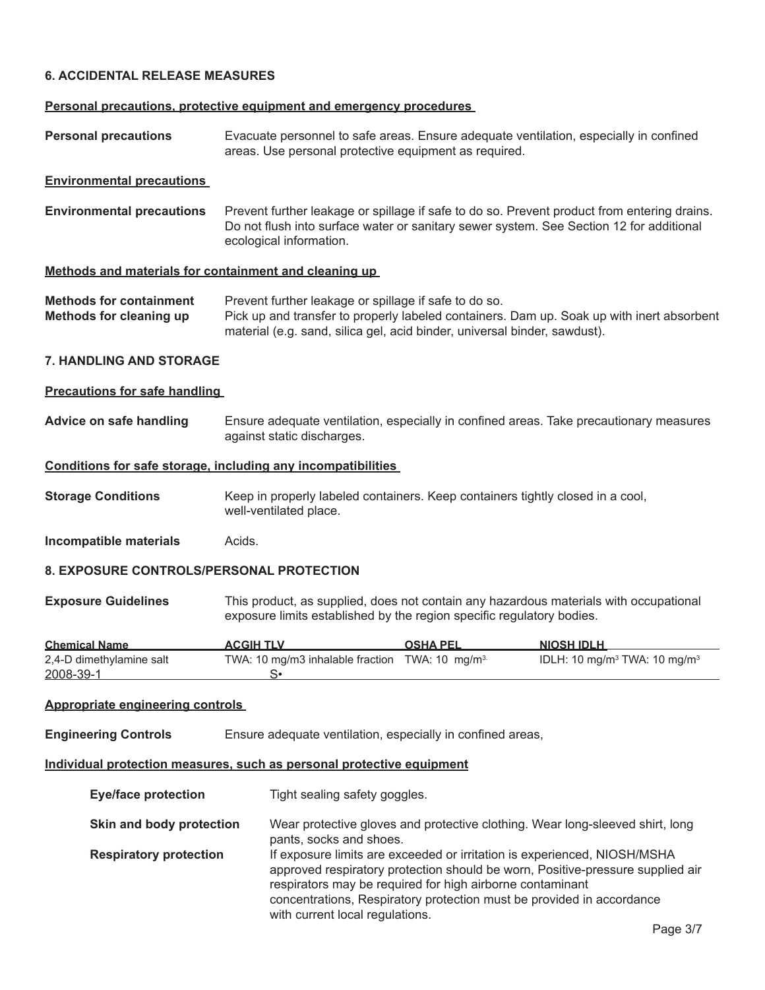# **6. ACCIDENTAL RELEASE MEASURES**

#### **Personal precautions, protective equipment and emergency procedures**

**Personal precautions** Evacuate personnel to safe areas. Ensure adequate ventilation, especially in confined areas. Use personal protective equipment as required.

#### **Environmental precautions**

**Environmental precautions** Prevent further leakage or spillage if safe to do so. Prevent product from entering drains. Do not flush into surface water or sanitary sewer system. See Section 12 for additional ecological information.

#### **Methods and materials for containment and cleaning up**

| <b>Methods for containment</b> | Prevent further leakage or spillage if safe to do so.                                     |
|--------------------------------|-------------------------------------------------------------------------------------------|
| Methods for cleaning up        | Pick up and transfer to properly labeled containers. Dam up. Soak up with inert absorbent |
|                                | material (e.g. sand, silica gel, acid binder, universal binder, sawdust).                 |

# **7. HANDLING AND STORAGE**

#### **Precautions for safe handling**

**Advice on safe handling** Ensure adequate ventilation, especially in confined areas. Take precautionary measures against static discharges.

#### **Conditions for safe storage, including any incompatibilities**

**Storage Conditions Keep in properly labeled containers. Keep containers tightly closed in a cool,** well-ventilated place.

**Incompatible materials** Acids.

#### **8. EXPOSURE CONTROLS/PERSONAL PROTECTION**

**Exposure Guidelines** This product, as supplied, does not contain any hazardous materials with occupational exposure limits established by the region specific regulatory bodies.

| <b>Chemical Name</b>     | <b>ACGIH TLV</b>                                           | <b>OSHA PEL</b> | <b>NIOSH IDLH</b>                                    |
|--------------------------|------------------------------------------------------------|-----------------|------------------------------------------------------|
| 2,4-D dimethylamine salt | TWA: 10 mg/m3 inhalable fraction TWA: 10 mg/m <sup>3</sup> |                 | IDLH: 10 mg/m <sup>3</sup> TWA: 10 mg/m <sup>3</sup> |
| 2008-39-1                |                                                            |                 |                                                      |

#### **Appropriate engineering controls**

**Engineering Controls** Ensure adequate ventilation, especially in confined areas,

#### **Individual protection measures, such as personal protective equipment**

| <b>Eye/face protection</b>    | Tight sealing safety goggles.                                                                                                                                                                                                                                                                                                       |
|-------------------------------|-------------------------------------------------------------------------------------------------------------------------------------------------------------------------------------------------------------------------------------------------------------------------------------------------------------------------------------|
| Skin and body protection      | Wear protective gloves and protective clothing. Wear long-sleeved shirt, long<br>pants, socks and shoes.                                                                                                                                                                                                                            |
| <b>Respiratory protection</b> | If exposure limits are exceeded or irritation is experienced, NIOSH/MSHA<br>approved respiratory protection should be worn, Positive-pressure supplied air<br>respirators may be required for high airborne contaminant<br>concentrations, Respiratory protection must be provided in accordance<br>with current local regulations. |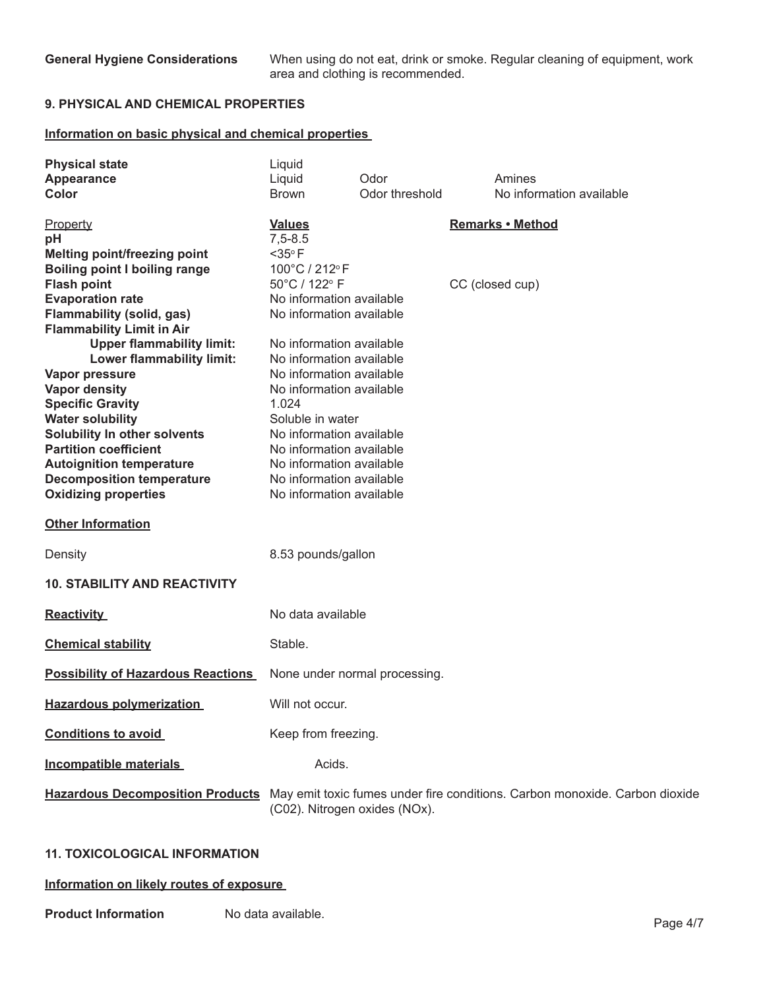**General Hygiene Considerations** When using do not eat, drink or smoke. Regular cleaning of equipment, work area and clothing is recommended.

# **9. PHYSICAL AND CHEMICAL PROPERTIES**

# **Information on basic physical and chemical properties**

| <b>Physical state</b>                                 | Liquid                                               |                               |                                                                             |
|-------------------------------------------------------|------------------------------------------------------|-------------------------------|-----------------------------------------------------------------------------|
| Appearance                                            | Liquid                                               | Odor                          | Amines                                                                      |
| Color                                                 | <b>Brown</b>                                         | Odor threshold                | No information available                                                    |
| Property<br>pH<br><b>Melting point/freezing point</b> | <b>Values</b><br>$7,5 - 8.5$<br>$<$ 35 $\circ$ F     |                               | <b>Remarks • Method</b>                                                     |
| <b>Boiling point I boiling range</b>                  | 100°C / 212°F                                        |                               |                                                                             |
| <b>Flash point</b>                                    | 50°C / 122° F                                        |                               | CC (closed cup)                                                             |
| <b>Evaporation rate</b>                               | No information available                             |                               |                                                                             |
| <b>Flammability (solid, gas)</b>                      | No information available                             |                               |                                                                             |
| <b>Flammability Limit in Air</b>                      |                                                      |                               |                                                                             |
| <b>Upper flammability limit:</b>                      | No information available                             |                               |                                                                             |
| Lower flammability limit:                             | No information available                             |                               |                                                                             |
| Vapor pressure                                        | No information available<br>No information available |                               |                                                                             |
| <b>Vapor density</b><br><b>Specific Gravity</b>       | 1.024                                                |                               |                                                                             |
| <b>Water solubility</b>                               | Soluble in water                                     |                               |                                                                             |
| Solubility In other solvents                          | No information available                             |                               |                                                                             |
| <b>Partition coefficient</b>                          | No information available                             |                               |                                                                             |
| <b>Autoignition temperature</b>                       | No information available                             |                               |                                                                             |
| <b>Decomposition temperature</b>                      | No information available                             |                               |                                                                             |
| <b>Oxidizing properties</b>                           | No information available                             |                               |                                                                             |
| <b>Other Information</b>                              |                                                      |                               |                                                                             |
| Density                                               | 8.53 pounds/gallon                                   |                               |                                                                             |
| <b>10. STABILITY AND REACTIVITY</b>                   |                                                      |                               |                                                                             |
| <b>Reactivity</b>                                     | No data available                                    |                               |                                                                             |
| <b>Chemical stability</b>                             | Stable.                                              |                               |                                                                             |
| <b>Possibility of Hazardous Reactions</b>             |                                                      | None under normal processing. |                                                                             |
| <b>Hazardous polymerization</b>                       | Will not occur.                                      |                               |                                                                             |
| <b>Conditions to avoid</b>                            | Keep from freezing.                                  |                               |                                                                             |
| <b>Incompatible materials</b>                         | Acids.                                               |                               |                                                                             |
| <b>Hazardous Decomposition Products</b>               | (C02). Nitrogen oxides (NOx).                        |                               | May emit toxic fumes under fire conditions. Carbon monoxide. Carbon dioxide |

# **11. TOXICOLOGICAL INFORMATION**

# **Information on likely routes of exposure**

**Product Information** No data available. Page 4/7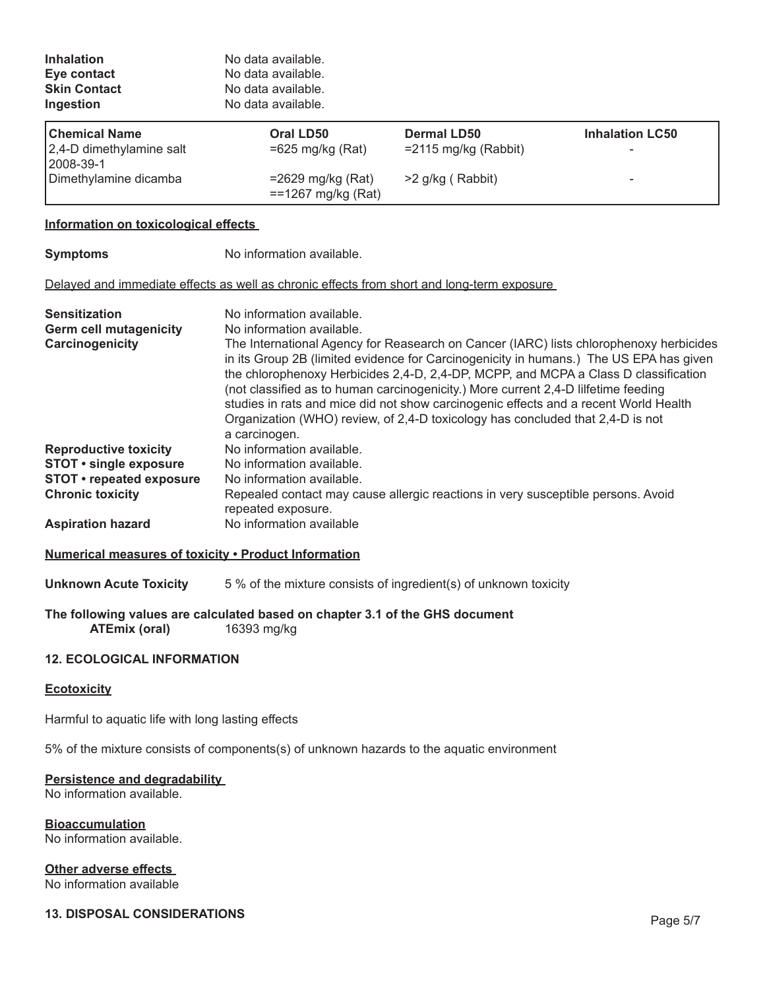| <b>Inhalation</b><br>Eye contact<br><b>Skin Contact</b><br>Ingestion     | No data available.<br>No data available.<br>No data available.<br>No data available.                                                                                                                                                                                                                                                                                                                                                                                                                                                                                                                               |                                               |                        |
|--------------------------------------------------------------------------|--------------------------------------------------------------------------------------------------------------------------------------------------------------------------------------------------------------------------------------------------------------------------------------------------------------------------------------------------------------------------------------------------------------------------------------------------------------------------------------------------------------------------------------------------------------------------------------------------------------------|-----------------------------------------------|------------------------|
| <b>Chemical Name</b><br>2,4-D dimethylamine salt<br>2008-39-1            | Oral LD50<br>$=625$ mg/kg (Rat)                                                                                                                                                                                                                                                                                                                                                                                                                                                                                                                                                                                    | <b>Dermal LD50</b><br>$=$ 2115 mg/kg (Rabbit) | <b>Inhalation LC50</b> |
| Dimethylamine dicamba                                                    | $=2629$ mg/kg (Rat)<br>==1267 mg/kg (Rat)                                                                                                                                                                                                                                                                                                                                                                                                                                                                                                                                                                          | >2 g/kg (Rabbit)                              |                        |
| Information on toxicological effects                                     |                                                                                                                                                                                                                                                                                                                                                                                                                                                                                                                                                                                                                    |                                               |                        |
| <b>Symptoms</b>                                                          | No information available.                                                                                                                                                                                                                                                                                                                                                                                                                                                                                                                                                                                          |                                               |                        |
|                                                                          | Delayed and immediate effects as well as chronic effects from short and long-term exposure                                                                                                                                                                                                                                                                                                                                                                                                                                                                                                                         |                                               |                        |
| <b>Sensitization</b><br><b>Germ cell mutagenicity</b><br>Carcinogenicity | No information available.<br>No information available.<br>The International Agency for Reasearch on Cancer (IARC) lists chlorophenoxy herbicides<br>in its Group 2B (limited evidence for Carcinogenicity in humans.) The US EPA has given<br>the chlorophenoxy Herbicides 2,4-D, 2,4-DP, MCPP, and MCPA a Class D classification<br>(not classified as to human carcinogenicity.) More current 2,4-D lilfetime feeding<br>studies in rats and mice did not show carcinogenic effects and a recent World Health<br>Organization (WHO) review, of 2,4-D toxicology has concluded that 2,4-D is not<br>a carcinogen. |                                               |                        |
| <b>Reproductive toxicity</b>                                             | No information available.                                                                                                                                                                                                                                                                                                                                                                                                                                                                                                                                                                                          |                                               |                        |
| <b>STOT • single exposure</b>                                            | No information available.                                                                                                                                                                                                                                                                                                                                                                                                                                                                                                                                                                                          |                                               |                        |
| <b>STOT</b> • repeated exposure                                          | No information available.                                                                                                                                                                                                                                                                                                                                                                                                                                                                                                                                                                                          |                                               |                        |
| <b>Chronic toxicity</b>                                                  | Repealed contact may cause allergic reactions in very susceptible persons. Avoid                                                                                                                                                                                                                                                                                                                                                                                                                                                                                                                                   |                                               |                        |

Repealed contact may cause allergic reactions in very susceptible persons. Avoid repeated exposure. **Aspiration hazard** No information available

# **Numerical measures of toxicity • Product Information**

**Unknown Acute Toxicity** 5 % of the mixture consists of ingredient(s) of unknown toxicity

# **The following values are calculated based on chapter 3.1 of the GHS document ATEmix (oral)** 16393 mg/kg

# **12. ECOLOGICAL INFORMATION**

# **Ecotoxicity**

Harmful to aquatic life with long lasting effects

5% of the mixture consists of components(s) of unknown hazards to the aquatic environment

# **Persistence and degradability**

No information available.

**Bioaccumulation** No information available.

# **Other adverse effects**

No information available

# **13. DISPOSAL CONSIDERATIONS Page 5/7**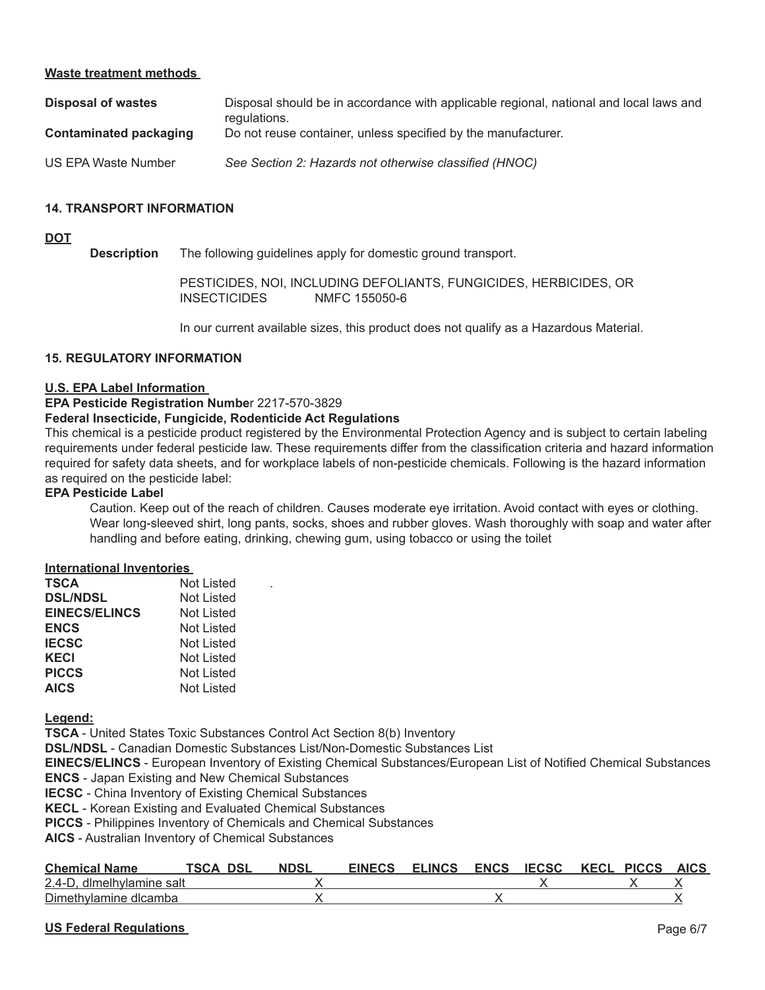# **Waste treatment methods**

| Disposal of wastes            | Disposal should be in accordance with applicable regional, national and local laws and<br>regulations. |
|-------------------------------|--------------------------------------------------------------------------------------------------------|
| <b>Contaminated packaging</b> | Do not reuse container, unless specified by the manufacturer.                                          |
| US EPA Waste Number           | See Section 2: Hazards not otherwise classified (HNOC)                                                 |

# **14. TRANSPORT INFORMATION**

# **DOT**

**Description** The following guidelines apply for domestic ground transport.

PESTICIDES, NOI, INCLUDING DEFOLIANTS, FUNGICIDES, HERBICIDES, OR<br>INSECTICIDES MMFC 155050-6 NMFC 155050-6

In our current available sizes, this product does not qualify as a Hazardous Material.

# **15. REGULATORY INFORMATION**

#### **U.S. EPA Label Information**

#### **EPA Pesticide Registration Numbe**r 2217-570-3829

#### **Federal Insecticide, Fungicide, Rodenticide Act Regulations**

This chemical is a pesticide product registered by the Environmental Protection Agency and is subject to certain labeling requirements under federal pesticide law. These requirements differ from the classification criteria and hazard information required for safety data sheets, and for workplace labels of non-pesticide chemicals. Following is the hazard information as required on the pesticide label:

#### **EPA Pesticide Label**

Caution. Keep out of the reach of children. Causes moderate eye irritation. Avoid contact with eyes or clothing. Wear long-sleeved shirt, long pants, socks, shoes and rubber gloves. Wash thoroughly with soap and water after handling and before eating, drinking, chewing gum, using tobacco or using the toilet

#### **International Inventories**

| <b>TSCA</b>          | Not Listed        |  |
|----------------------|-------------------|--|
| <b>DSL/NDSL</b>      | <b>Not Listed</b> |  |
| <b>EINECS/ELINCS</b> | Not Listed        |  |
| <b>ENCS</b>          | Not Listed        |  |
| <b>IECSC</b>         | Not Listed        |  |
| <b>KECI</b>          | Not Listed        |  |
| <b>PICCS</b>         | Not Listed        |  |
| <b>AICS</b>          | <b>Not Listed</b> |  |

**Legend:**

**TSCA** - United States Toxic Substances Control Act Section 8(b) Inventory

**DSL/NDSL** - Canadian Domestic Substances List/Non-Domestic Substances List

**EINECS/ELINCS** - European Inventory of Existing Chemical Substances/European List of Notified Chemical Substances **ENCS** - Japan Existing and New Chemical Substances

**IECSC** - China Inventory of Existing Chemical Substances

**KECL** - Korean Existing and Evaluated Chemical Substances

**PICCS** - Philippines Inventory of Chemicals and Chemical Substances

**AICS** - Australian Inventory of Chemical Substances

| <b>Chemical Name</b>      | DSL<br>TSCA | <b>NDSL</b> | <b>EINECS</b> | <b>ELINCS</b> | ENCS IECSC KECL PICCS AICS |  |  |
|---------------------------|-------------|-------------|---------------|---------------|----------------------------|--|--|
| 2.4-D. dlmelhylamine salt |             |             |               |               |                            |  |  |
| Dimethylamine dicamba     |             |             |               |               |                            |  |  |

# **US Federal Regulations** Page 6/7